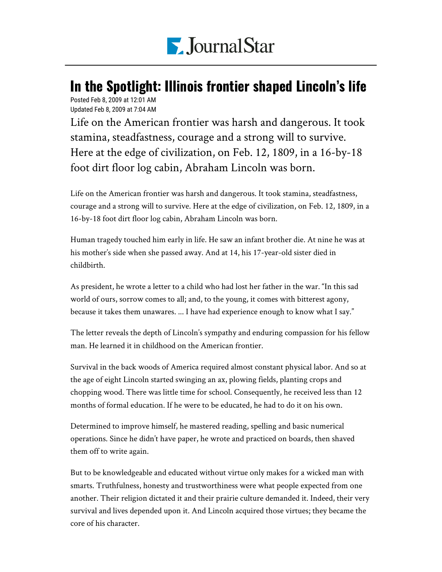

## In the Spotlight: Illinois frontier shaped Lincoln's life

Posted Feb 8, 2009 at 12:01 AM Updated Feb 8, 2009 at 7:04 AM

Life on the American frontier was harsh and dangerous. It took stamina, steadfastness, courage and a strong will to survive. Here at the edge of civilization, on Feb. 12, 1809, in a 16-by-18 foot dirt floor log cabin, Abraham Lincoln was born.

Life on the American frontier was harsh and dangerous. It took stamina, steadfastness, courage and a strong will to survive. Here at the edge of civilization, on Feb. 12, 1809, in a 16-by-18 foot dirt floor log cabin, Abraham Lincoln was born.

Human tragedy touched him early in life. He saw an infant brother die. At nine he was at his mother's side when she passed away. And at 14, his 17-year-old sister died in childbirth.

As president, he wrote a letter to a child who had lost her father in the war. "In this sad world of ours, sorrow comes to all; and, to the young, it comes with bitterest agony, because it takes them unawares. ... I have had experience enough to know what I say."

The letter reveals the depth of Lincoln's sympathy and enduring compassion for his fellow man. He learned it in childhood on the American frontier.

Survival in the back woods of America required almost constant physical labor. And so at the age of eight Lincoln started swinging an ax, plowing fields, planting crops and chopping wood. There was little time for school. Consequently, he received less than 12 months of formal education. If he were to be educated, he had to do it on his own.

Determined to improve himself, he mastered reading, spelling and basic numerical operations. Since he didn't have paper, he wrote and practiced on boards, then shaved them off to write again.

But to be knowledgeable and educated without virtue only makes for a wicked man with smarts. Truthfulness, honesty and trustworthiness were what people expected from one another. Their religion dictated it and their prairie culture demanded it. Indeed, their very survival and lives depended upon it. And Lincoln acquired those virtues; they became the core of his character.